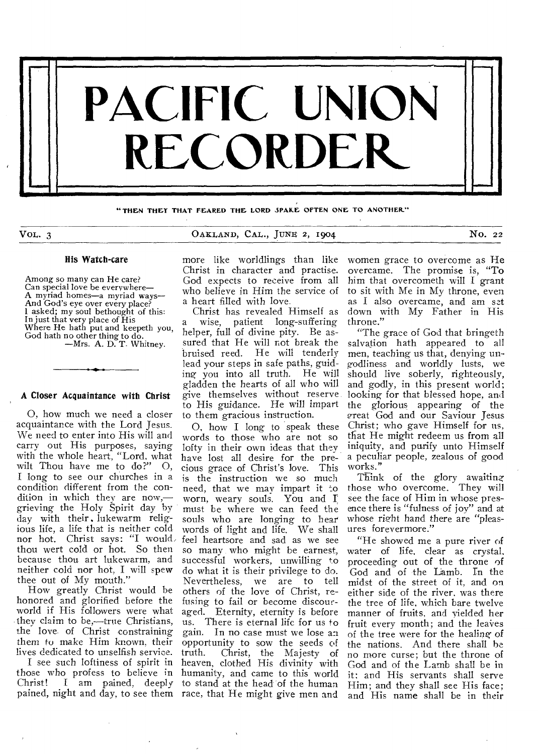

**"THEN THEY THAT FEARED THE LORD MAKE OFTEN ONE TO ANOTHER\_"** 

VOL. 3 0AKLAND, CAL., JUNE 2, 1904 NO. 22

## His Watch-care

Among so many can He care? Can special love be everywhere— A myriad homes—a myriad ways— And God's eye over every place? 1 asked; my soul bethought of this: In just that very place of His Where He hath put and keepeth you, God hath no other thing to do. —Mrs. A. D. T. Whitney.

## A Closer Acquaintance with Christ

0, how much we need a closer acquaintance with the Lord Jesus. We need to enter into His will and carry out His purposes, saying with the whole heart, "Lord, what wilt Thou have me to  $do?$ "  $\odot$ , I long to see our churches in a condition different from the condition in which they are now, grieving the Holy Spirit day by day with their . lukewarm religious life, a life that is neither cold nor hot. Christ says: "I would thou wert cold or hot. So then because thou art lukewarm, and neither cold nor hot, I will spew thee out of My mouth."

How greatly Christ would be honored and glorified before the world if His followers were what they claim to be,—true Christians, the love of Christ constraining them to make Him known, their lives dedicated to unselfish service.

I see such loftiness of spirit in those who profess to believe in Christ! I am pained, deeply to stand at the head of the human

more like worldlings than like Christ in character and practise. God expects to receive from all who believe in Him the service of a heart filled with love.

Christ has revealed Himself as a wise, patient long-suffering helper, full of divine pity. Be assured that He will not break the bruised reed. He will tenderly lead your steps in safe paths, guiding you into all truth. He will gladden the hearts of all who will give themselves without reserve to His guidance. He will impart to them gracious instruction.

pained, night and day, to see them race, that He might give men and 0, how I long to speak these words to those who are not so lofty in their own ideas that they have lost all desire for the precious grace of Christ's love. This is the instruction we so much need, that we may impart it to worn, weary souls. You and I must be where we can feed the souls who are longing to hear words of light and life. We shall feel heartsore and sad as we see so many who might be earnest, successful workers, unwilling to do what it is their privilege to do. Nevertheless, we are to tell others of the love of Christ, refusing to fail or become discouraged. Eternity, eternity is before us. There is eternal life for us to gain. In no case must we lose an opportunity to sow the seeds of<br>truth. Christ, the Majesty of Christ, the Majesty of heaven, clothed His divinity with humanity, and came to this world

women grace to overcome as He overcame. The promise is, "To him that overcometh will I grant to sit with Me in My throne, even as I also overcame, and am set down with My Father in His throne."

"The grace of God that bringeth salvation bath appeared to all men, teaching us that, denying ungodliness and worldly lusts, we should live soberly, righteously, and godly, in this present world; looking for that blessed hope, and the glorious appearing of the great God and our Saviour Jesus Christ; who gave Himself for us, that He might redeem us from all iniquity, and purify unto Himself a peculiar people, zealous of good works."

Think of the glory awaiting those who overcome. They will see the face of Him in whose presence there is "fulness of joy" and at whose right hand there are "pleasures forevermore."

"He showed me a pure river of water of life, clear as crystal, proceeding out of the throne of God and of the Lamb. In the midst of the street of it, and on either side of the river, was there the tree of life, which bare twelve manner of fruits, and yielded her fruit every month; and the leaves of the tree were for the healing of the nations. And there shall be no more curse; but the throne of God and of the Lamb shall be in it: and His servants shall serve Him; and they shall see His face; and His name shall be in their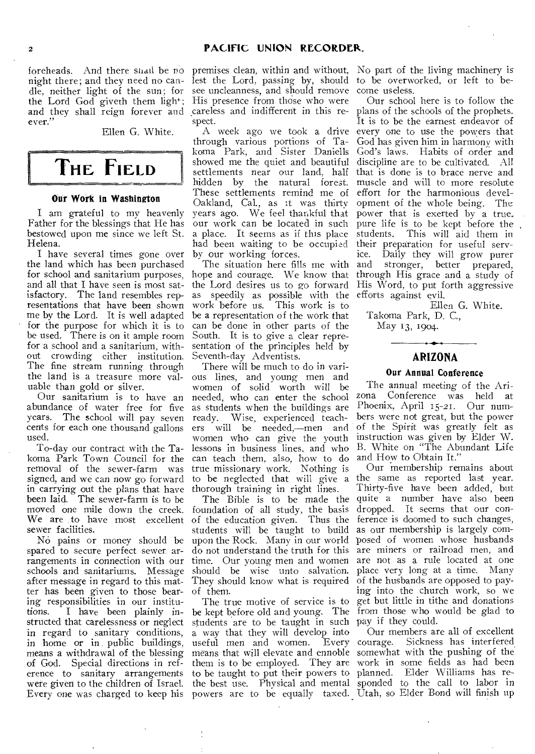foreheads. And there shall be no night there; and they need no candle, neither light of the sun; for the Lord God giveth them light; and they shall reign forever and careless and indifferent in this reever."

Ellen G. White.

# **THE FIELD**

## **Our Work in Washington**

I am grateful to my heavenly Father for the blessings that He has bestowed upon me since we left St. Helena.

I have several times gone over the land which has been purchased for school and sanitarium purposes, and all that I have seen is most satisfactory. The land resembles representations that have been shown me by the Lord. It is well adapted for the purpose for which it is to be used. There is on it ample room for a school and a sanitarium, without crowding either institution. The fine stream running through the land is a treasure more valuable than gold or silver.

Our sanitarium is to have an abundance of water free for five years. The school will pay seven cents for each one thousand gallons used.

To-day our contract with the Takoma Park Town Council for the removal of the sewer-farm was signed, and we can now go forward in carrying out the plans that have been laid. The sewer-farm is to be moved one mile down the creek. We are to have most excellent of the education given. Thus the ference is doomed to such changes, sewer facilities.

No pains or money should be spared to secure perfect sewer, arrangements in connection with our schools and sanitariums. Message after message in regard to this matter has been given to those bearing responsibilities in our institu-I have been plainly instructed that carelessness or neglect in regard to sanitary conditions, in home or in public buildings, means a withdrawal of the blessing of God. Special directions in reference to sanitary arrangements were given to the children of Israel. Every one was charged to keep his powers are to be equally taxed. Utah, so Elder Bond will finish up

lest the Lord, passing by, should to be overworked, or left to besee uncleanness, and should remove His presence from those who were spect.

A week ago we took a drive through various portions of Takoma Park, and Sister Daniells showed me the quiet and beautiful settlements near our land, half hidden by the natural forest. These settlements remind me of Oakland, Cal., as it was thirty years ago. We feel thankful that our work can be located in such a place. It seems as if this place had been waiting to be occupied by our working forces.

The situation here fills me with hope and courage. We know that the Lord desires us to go forward as speedily as possible with the work before us. This work is to be a representation of the work that can be done in other parts of the South. It is to give a clear representation of the principles held by Seventh-day Adventists.

There will be much to do in various lines, and young men and women of solid worth will be needed, who can enter the school as students when the buildings are<br>ready. Wise, experienced teach-Wise, experienced teachers will be needed,—men and women who can give the youth lessons in business lines, and who can teach them, also, how to do true missionary work. Nothing is to be neglected that will give a thorough training in right lines.

foundation of all study, the basis students will be taught to build as our membership is largely comdo not understand the truth for this time. Our young men and women should be wise unto salvation. They should know what is required of them.

The true motive of service is to be kept before old and young. The students are to be taught in such pay if they could. a way that they will develop into useful men and women. Every means that will elevate and ennoble somewhat with the pushing of the them is to be employed. They are work in some fields as had been to be taught to put their powers to planned. Elder Williams has re-

premises clean, within and without, No part of the living machinery is come useless.

Our school here is to follow the plans of the schools of the prophets. It is to be the earnest endeavor of every one to use the powers that God has given him in harmony with God's laws. Habits of order and discipline are to be cultivated. All that is done is to brace nerve and muscle and will to more resolute effort for the harmonious development of the whole being. The power that is exerted by a true, pure life is to be kept before the<br>students. This will aid them in This will aid them in their preparation for useful serv-<br>ice. Daily they will grow purer Daily they will grow purer and stronger, better prepared, through His grace and a study of His Word, to put forth aggressive efforts against evil.

Ellen G. White. Takoma Park, D. C., May 13, 1904

## **ARIZONA**

## **Our Annual Conference**

The annual meeting of the Ari-<br>zona Conference was held at Conference was held at Phoenix, April 15-21. Our numbers were not great, but the power of the Spirit was greatly felt as instruction was given by Elder W. B. White on "The Abundant Life and How to Obtain It."

The Bible is to be made the quite a number have also been upon the Rock. Many in our world posed of women whose husbands Our membership remains about the same as reported last year. Thirty-five have been added, but dropped. It seems that our conare miners or railroad men, and are not as a rule located at one place very long at a time. Many of the husbands are opposed to paying into the church work, so we get but little in tithe and donations from those who would be glad to

the best use. Physical and mental sponded to the call to labor in Our members are all of excellent courage. Sickness has interfered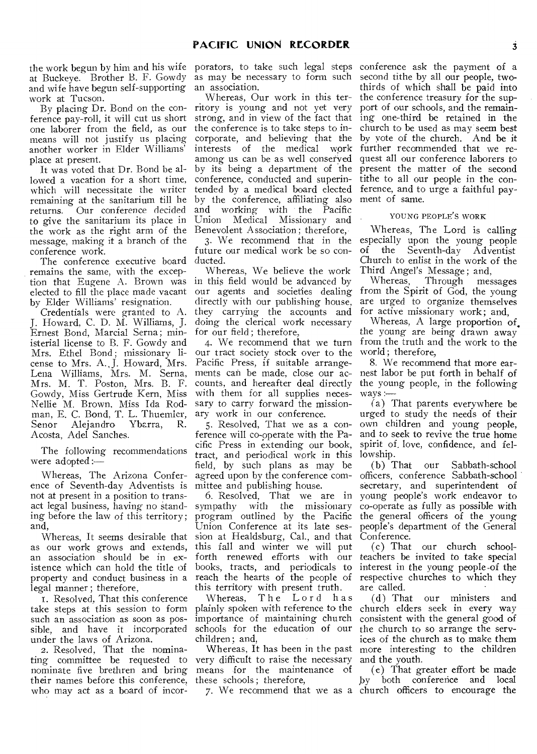the work begun by him and his wife at Buckeye. Brother B. F. Gowdy and wife have begun self-supporting work at Tucson.

By placing Dr. Bond on the conference pay-roll, it will cut us short one laborer from the field, as our means will not justify us placing another worker in Elder Williams' place at present.

It was voted that Dr. Bond be allowed a vacation for a short time, which will necessitate the writer remaining at the sanitarium till he returns. Our conference *decided*  to give the sanitarium its place in the work as the right arm of the message, making it a branch of the conference work.

The conference executive board remains the same, with the exception that Eugene A. Brown was elected to fill the place made vacant by Elder Williams' resignation.

Credentials were granted to A. J. Howard, C. D. M. Williams, J. Ernest Bond, Marcial Serna ; ministerial license to B. F. Gowdy and Mrs. Ethel Bond; missionary license to Mrs. A.. J. Howard, Mrs. Lena Williams, Mrs. M. Serna, Mrs. M. T. Poston, Mrs. B. F. Gowdy, Miss Gertrude Kern, Miss Nellie M. Brown, Miss Ida Rodman, E. C. Bond, T. L. Thuemier,<br>Senor Alejandro Ybarra, R. Senor Alejandro Ybarra, R. Acosta, Adel Sanches.

The following recommendations were adopted :—

Whereas, The Arizona Conference of Seventh-day Adventists is not at present in a position to transact legal business, having no standing before the law of this territory; and,

as our work grows and extends, an association should be in existence which can hold the title of property and conduct business in a legal manner ; therefore,

I. Resolved, That this conference take steps at this session to form such an association as soon as possible, and have it incorporated under the laws of Arizona.

2. Resolved, That the nominating committee be requested to nominate five brethren and bring their names before this conference, who may act as a board of incor-

porators, to take such legal steps conference ask the payment of a as may be necessary to form such an association.

Whereas, Our work in this territory is young and not yet very strong, and in view of the fact that the conference is to take steps to incorporate, and believing that the interests of the medical work among us can be as well conserved by its being a department of the conference, conducted and superintended by a medical board elected by the conference, affiliating also and working with the Pacific Union Medical Missionary and Benevolent Association; therefore,

3. We recommend that in the future our medical work be so conducted.

Whereas, We believe the work in this field would be advanced by our agents and societies dealing directly with our publishing house, they carrying the accounts and doing the clerical work necessary for our field ; therefore,

4. We recommend that we turn our tract society stock over to the Pacific Press, if suitable arrangements can be made, close our accounts, and hereafter deal directly with them for all supplies necessary to carry forward the missionary work in our conference.

5. Resolved, That we as a conference will co-operate with the Pacific Press in extending our book, tract, and periodical work in this field, by such plans as may be agreed upon by the conference committee and publishing house.

Whereas, It seems desirable that sion at Healdsburg, Cal., and that 6. Resolved, That we are in sympathy program outlined by the Pacific Union Conference at its late sesthis fall and winter we will put forth renewed efforts with our books, tracts, and periodicals to reach the hearts of the people of this territory with present truth.

Whereas, The Lord has plainly spoken with reference to the importance of maintaining church schools for the education of our children; and,

Whereas, It has been in the past very difficult to raise the necessary means for the maintenance of these schools ; therefore,

second tithe by all our people, twothirds of which shall be paid into the conference treasury for the support of our schools, and the remaining one-third be retained in the church to be used as may seem best by vote of the church. And be it further recommended that we request all our conference laborers to present the matter of the second tithe to all our people in the conference, and to urge a faithful payment of same.

## YOUNG PEOPLE'S WORK

Whereas, The Lord is calling especially upon the young people of the Seventh-day Adventist Church to enlist in the work of the Third Angel's Message ; and,

Whereas, Through messages from the Spirit of God, the young are urged to organize themselves for active missionary work; and,

Whereas, A large proportion of, the young are being drawn away from the truth and the work to the world ; therefore,

8. We recommend that more earnest labor be put forth in behalf of the young people, in the following ways :—

(a) That parents everywhere be urged to study the needs of their own children and young people, and to seek to revive the true home spirit of. love, confidence, and fellowship.

(b) That our Sabbath-school officers, conference Sabbath-school secretary, and superintendent of young people's work endeavor to co-operate *as* fully as possible with the general officers of the young people's department of the General Conference.

(c) That our church schoolteachers be invited to take special interest in the young people•of the respective churches to which they are called.

(d) That our ministers and church elders seek in every way consistent with the general good of the church to so arrange the services of the church as to make them more interesting to the children and the youth.

7. We recommend that we as a church officers to encourage the (e) That greater effort be made<br>by both conference and local both conference and local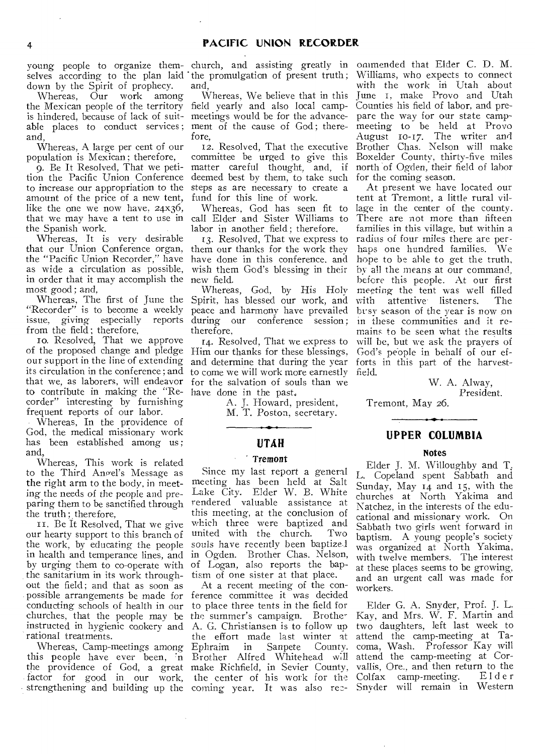young people to organize themselves according to the plan laid down by the Spirit of prophecy.

Whereas, Our work among the Mexican people of the territory field yearly and also local campis hindered, because of lack of suitable places to conduct services; ment of the cause of God; thereand,

Whereas, A large per cent of our population is Mexican ; therefore,

9. Be It Resolved, That we petition the Pacific Union Conference to increase our appropriation to the amount of the price of a new tent, like the one we now have, 24x36, that we may have a tent to use in call Elder and Sister Williams to the Spanish work.

Whereas, It is very desirable that our Union Conference organ, the "Pacific Union Recorder," have as wide a circulation as possible, in order that it may accomplish the most good ; and,

Whereas, The first of June the "Recorder" is to become a weekly issue, giving especially reports from the field; therefore,

io. Resolved, That we approve of the proposed change and pledge our support in the line of extending its circulation in the conference ; and that we, as laborers, will endeavor to contribute in making the "Recorder" interesting by furnishing frequent reports of our labor.

Whereas, In the providence of God, the medical missionary work has been established among us ; and,

Whereas, This work is related to the Third Angel's Message as the right arm to the body, in meeting the needs of the people and preparing them to be sanctified through the truth ; therefore,

1. Be It Resolved, That we give our hearty support to this branch of the work, by educating the people in health and temperance lines, and in Ogden. Brother Chas. Nelson, by urging them to co-operate with of Logan, also reports the bapthe sanitarium in its work throughout the field; and that as soon as possible arrangements be made for ference committee it was decided conducting schools of health in our churches, that the people may be the summer's campaign. Brother rational treatments.

church, and assisting greatly in the promulgation of present truth ; and,

Whereas, We believe that in this meetings would be for the advancefore,

12. Resolved, That the executive committee be urged to give this matter careful thought, and, if deemed best by them, to take such steps as are necessary to create a fund for this line of work.

Whereas, God has seen fit to labor in another field; therefore,

13. Resolved, That we express to them our thanks for the work they have done in this conference, and wish them God's blessing in their new field.

Whereas, God, by His Holy Spirit, has blessed our work, and peace and harmony have prevailed during our conference session: therefore,

14. Resolved, That we express to Him our thanks for these blessings, and determine that during the year to come we will work more earnestly for the salvation of souls than we have done in the past,

> A. J. Howard, president, M. T. Poston, secretary.

> > **UTAH**

## Tremont

Since my last report a general meeting has been held at Salt Lake City. Elder W. B. White rendered valuable assistance at this meeting, at the conclusion of which three were baptized and united with the church. Two souls have recently been baptize .I tism of one sister at that place.

instructed in hygienic cookery and A. G. Christiansen is to follow up Whereas, Camp-meetings among Ephraim in Sanpete County. this people have ever been, 'n Brother Alfred Whitehead w:11 the providence of God, a great make Richfield, in Sevier County, factor for good in our work, the center of his work for the strengthening and building up the coming year. It was also rec-At a recent meeting of the conto place three tents in the field for the effort made last winter at<br>Ephraim in Sanpete County.

onimended that Elder C. D. M. Williams, who expects to connect with the work in Utah about June 1, make Provo and Utah Counties his field of labor, and prepare the way for our state campmeeting to be held at Provo August 10-17. The writer and Brother Chas. Nelson will make Boxelder County, thirty-five miles north 'of Ogden, their field of labor for the coming season.

At present we have located our tent at Tremont, a little rural village in the center of the county. There are not more than fifteen families in this village, but within a radius of four miles there are perhaps one hundred families. We hope to be able to get the truth, by all the means at our command, before this people. At our first meeting the tent was well filled with attentive listeners. The but sv season of the year is now on in these communities and it remains to be seen what the results will be, but we ask the prayers of God's people in behalf of our efforts in this part of the harvestfield.

W. A. Alway, President.

Tremont, May 26.

## **UPPER COLUMBIA**

#### Notes

Elder J. M. Willoughby and T. L. Copeland spent Sabbath and Sunday, May 14 and 15, with the churches at North Yakima and Natchez, in the interests of the educational and missionary work. On Sabbath two girls went forward in baptism. A young people's society was organized at North Yakima, with twelve members. The interest at these places seems to be growing, and an urgent call was made for workers.

Elder G. A. Snyder, Prof. J. L. Kay, and Mrs. W. F. Martin and two daughters, left last week to attend the camp-meeting at Tacoma, Wash. Professor Kay will attend the camp-meeting at Corvallis, Ore., and then return to the<br>Colfax camp-meeting. Elder Colfax camp-meeting. Snyder will remain in Western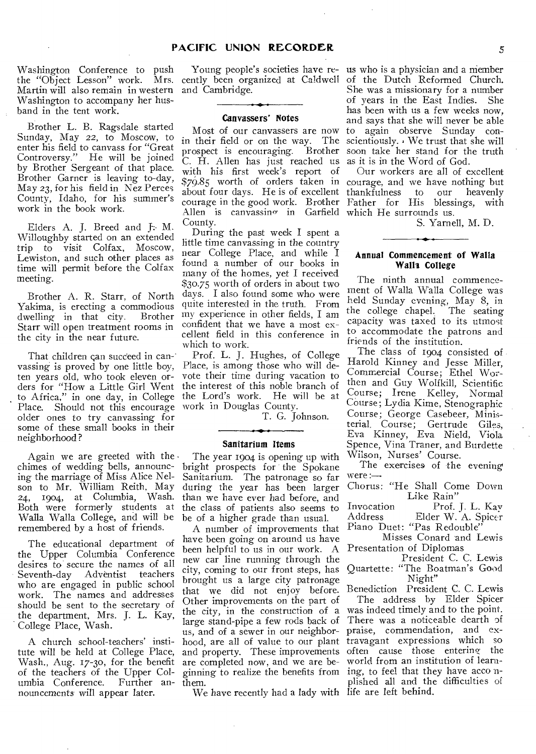Washington Conference to push the "Object Lesson" work. Martin will also remain in western Washington to accompany her husband in the tent work.

Brother L. B. Ragsdale started Sunday, May 22, to Moscow, to enter his field to canvass for "Great Controversy." He will be joined by Brother Sergeant of that place. Brother Garner is leaving to-day, May 23, for his field in Nez Perces County, Idaho, for his summer's work in the book work.

Elders A. J. Breed and J. M. Willoughby started on an extended trip to visit Colfax, Moscow, Lewiston, and such other places as time will permit before the Colfax meeting.

Brother A. R. Starr, of North Yakima, is erecting a commodious dwelling in that city. Brother Starr will open treatment rooms in the city in the near future.

That children can succeed in canvassing is proved by one little boy, ten years old, who took eleven orders for "How a Little Girl Went to Africa," in one day, in College Place. Should not this encourage work in Douglas County. older ones to try canvassing for some of these small books in their neighborhood?

Again we are greeted with the. chimes of wedding bells, announcing the marriage of Miss Alice Nelson to Mr. William Reith, May 24, 1904, at Columbia, Wash. Both were formerly students at Walla Walla College, and will be be of a higher grade than usual. remembered by a host of friends.

The educational department of the Upper Columbia Conference desires to secure the names of all<br>Seventh-day Adventist teachers Adventist teachers who are engaged in public school work. The names and addresses should be sent to the secretary of the department, Mrs. J. L. Kay, College Place, Wash.

A church school-teachers' institute will be held at College Place, Wash., Aug. 17-30, for the benefit of the teachers of the Upper Columbia Conference. Further an- them. nouncements will appear later.

Young people's societies have re- us who is a physician and a member and Cambridge.

## Canvassers' Notes

Most of our canvassers are now in their field or on the way. The prospect is encouraging. Brother C. H. Allen has just reached us as it is in the Word of God. with his first week's report of  $\Delta$ llen is canyassin $\sigma$  in Garfield which He surrounds us. County.

During the past week I spent a little time canvassing in the country near College Place, and while I found a number of our books in many of the homes, yet I received \$30.75 worth of orders in about two days. I also found some who were quite interested in the truth. From my experience in other fields, I am confident that we have a most excellent field in this conference in which to work.

Prof. L. J. Hughes, of College Place, is among those who will devote their time during vacation to the interest of this noble branch of the Lord's work. He will be at

T. G. Johnson.

#### Sanitarium Items

The year 1904 is opening up with bright prospects for the Spokane Sanitarium. The patronage so far during the year has been larger than we have ever had before, and the class of patients also seems to

A number of improvements that Piano Duet: "Pas Redouble" have been going on around us have been helpful to us in our work. A Presentation of Diplomas new car line running through the city, coming to our front steps, has brought us a large city patronage that we did not enjoy before. Other improvements on the part of the city, in the construction of a large stand-pipe a few rods back of us, and of a sewer in our neighbor-praise, commendation, and exhood, are all of value to our plant travagant expressions which so and property. These improvements are completed now, and we are beginning to realize the benefits from ing, to feel that they have acco n-

We have recently had a lady with life are left behind.

cently been organized at Caldwell of the Dutch Reformed Church. She was a missionary for a number of years in the East Indies. She has been with us a few weeks now, and says that she will never be able to again observe Sunday conscientiously.  $\cdot$  We trust that she will soon take her stand for the truth

\$79.85 worth of orders taken in courage, and we have nothing but about four days. He is of excellent thankfulness to our heavenly courage in the good work. Brother Father for His blessings, with Our workers are all of excellent

S. Yarnell, M. D.

#### Annual Commencement of Walla Walla College

The ninth annual commencement of Walla Walla College was held Sunday evening, May 8, in the college chapel. The seating capacity was taxed to its utmost to accommodate the patrons and friends of the institution.

The class of 1904 consisted of Harold Kinney and Jesse Miller, Commercial Course; Ethel Worthen and Guy Wolfkill, Scientific Course; Irene Kelley, Normal Course; Lydia Kime, Stenographic Course; George Casebeer, Ministerial, Course; Gertrude Giles, Eva Kinney, Eva Nield, Viola Spence, Vina Traner, and Burdette Wilson, Nurses' Course.

The exercises of the evening  $were :=$ 

Chorus: "He Shall Come Down Like Rain"

Invocation Prof. J. L. Kay Address Elder W. A. Spicer

Misses Conard and Lewis

President C. C. Lewis Quartette: "The Boatman's Good Night"

Benediction President C. C. Lewis

The address by Elder Spicer was indeed timely and to the point. There was a noticeable dearth of often cause those entering the world from an institution of learnplished all and the difficulties of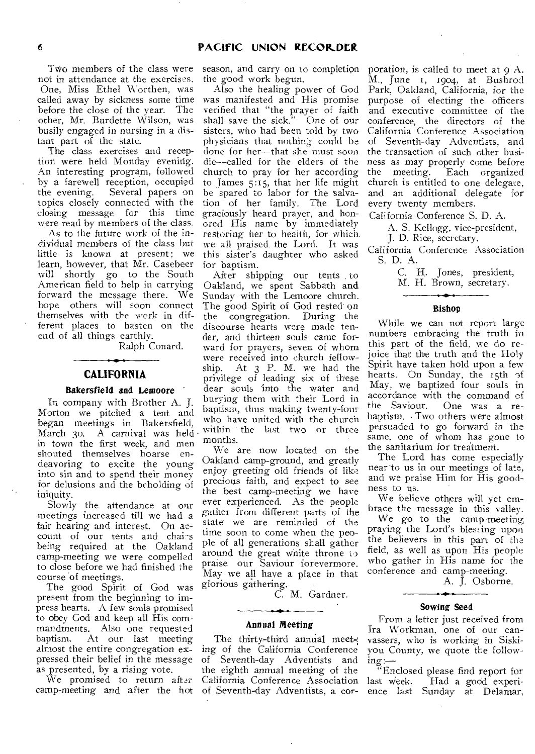Two members of the class were not in attendance at the exercises. One, Miss Ethel 'Worthen, was called away by sickness some time before the close of the year. The other, Mr. Burdette Wilson, was busily engaged in nursing in a distant part of the state.

The class exercises and reception were held Monday evening. An interesting program, followed by a farewell reception, occupied the evening. Several papers on topics closely connected with the closing message for this time were read by members of the class.

As to the future work of the individual members of the class but little is known at present; we learn, however, that Mr. Casebeer will shortly go to the South American field to help in carrying forward the message there. We hope others will soon connect themselves with the work in different places to hasten on the end of all things earthly.

Ralph Conard.

## **CALIFORNIA**

## Bakersfield and Lemoore

In company with Brother A. J. Morton we pitched a tent and began meetings in Bakersfield, March 3o. A carnival was held in town the first week, and men shouted themselves hoarse endeavoring to excite the young into sin and to spend their money for delusions and the beholding of iniquity.

Slowly the attendance at our meetings increased till we had a fair hearing and interest. On account of our tents and chairs being required at the Oakland camp-meeting we were compelled to close before we had finished the course of meetings.

The good Spirit of God was present from the beginning to impress hearts. A few souls promised to obey God and keep all His commandments. Also one requested baptism. At our last meeting almost the entire congregation expressed their belief in the message as presented, by a rising vote.

We promised to return after camp-meeting and after the hot season, and carry on to completion the good work begun.

Also the healing power of God was manifested and His promise verified that "the prayer of faith shall save the sick." One of our sisters, who had been told by two physicians that nothing- could be done for her—that she must soon die--called for the elders of the church to pray for her according to James 5:15, that her life might he spared to labor for the salvation of her family. The Lord graciously heard prayer, and honored His name by immediately restoring her to health, for which. we all praised the Lord. It was this sister's daughter who asked for baptism.

After shipping our tents , to Oakland, we spent Sabbath and Sunday with the Lemoore church. The good Spirit of God rested on the congregation. During the discourse hearts were made tender, and thirteen souls came forward for prayers, seven of whom were received into church fellow-ship. At 3 P. M. we had the privilege of leading six of these dear souls into the water and burying them with their Lord in baptism, thus making twenty-four who have united with the church within the last two or three months.

We are now located on the Oakland camp-ground, and greatly enjoy greeting old friends of like precious faith, and expect to see the best camp-meeting we have ever experienced. As the people gather from different parts of the state we are reminded of the time soon to come when the people of all generations shall gather around the great white throne praise our Saviour forevermore. May we all have a place in that glorious gathering.

*C.* M. Gardner.

## Annual Meeting

The thirty-third annual meeting of the California Conference of Seventh-day Adventists and the eighth annual meeting of the California Conference Association of Seventh-day Adventists, a cor-

poration, is called to meet at  $qA$ . M., June 1, 1904, at Bushrod Park, Oakland, California, for the purpose of electing the officers and executive committee of the conference, the directors of the California Conference Association of Seventh-day Adventists, and the transaction of such other business as may properly come before the meeting. Each organized church is entitled to one delegate, and an additional delegate for every twenty members.

California Conference S. D. A.

A. S. Kellogg, vice-president,

J. D. Rice, secretary.

California Conference Association S. D. A.

C. H. Jones, president,

M. H. Brown, secretary.

#### Bishop

While we can not report large numbers embracing the truth in this part of the field, we do rejoice that the truth and the Holy Spirit have taken hold upon a few hearts. On Sunday, the 15th of May, we baptized four souls in accordance with the command of<br>the Saviour. One was a re-One was a rebaptism. Two others were almost persuaded to go forward in the same, one of whom has gone to the sanitarium for treatment.

The Lord has come especially near to us in our meetings of late, and we praise Him for His goodness to us.

We believe others will yet embrace the message in this valley.

We go to the camp-meeting, praying the Lord's blessing upon the believers in this part of the field, as well as upon His people who gather in His name for the conference and camp-meeting.

A. J. Osborne.

#### Sowing Seed

From a letter just received from Ira Workman, one of our canvassers, who is working in Siskiyou County, we quote the following:—

"Enclosed please find report for last week. Had a good experience last Sunday at Delamar,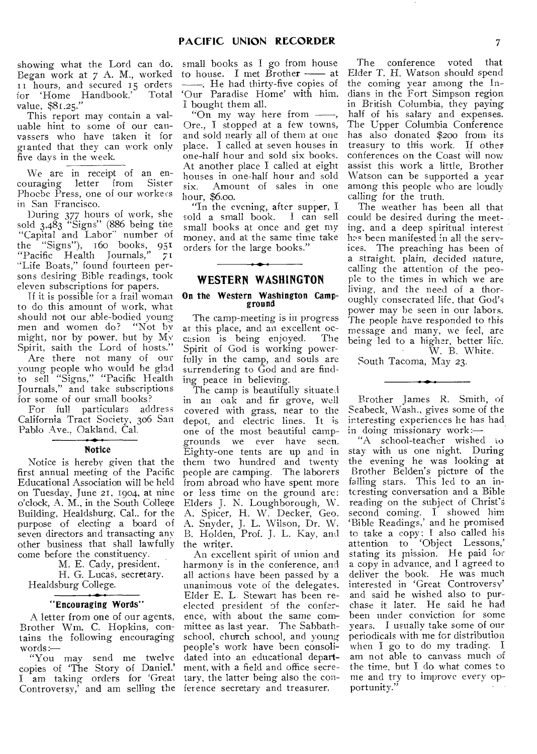showing what the Lord can do. Began work at 7 A. M., worked 11 hours, and secured 15 orders<br>for 'Home Handbook.' Total for 'Home Handbook.' Total value, \$81.25."

This report may contain a valuable hint to some of our canvassers who have taken it for granted that they can work only five days in the week.

We are in receipt of an en-<br>uraging letter from Sister couraging letter from Phoebe Press, one of our workecs in San Francisco.

During 377 hours of work, she sold  $3.483$  "Signs" (886 being the "Capital and Labor" number of the "Signs"), 16o books, 951 "Pacific Health Journals," 71 "Life Boats," found fourteen persons desiring Bible readings, took eleven subscriptions for papers.

If it is possible for a frail woman to do this amount of work, what should not our able-bodied young men and women do? "Not by might, nor by power, but by My Spirit, saith the Lord of hosts."

Are there not many of our young people who would he glad to sell "Signs," "Pacific Health Journals," and take subscriptions for some of our small books?

For full particulars address California Tract Society, 306 San Pablo Ave., Oakland, Cal.

#### Notice

Notice is hereby given that the first annual meeting of the Pacific Educational Association will be held on Tuesday, June 21, 1904, at nine o'clock, A. M., in the South College Building, Healdsburg, Cal., for the purpose of electing a board of seven directors and transacting any other business that shall lawfully come before the constituency.

M. E. Cady, president,

H. G. Lucas, secretary. Healdsburg College.

#### "Encouraging Words"

A letter from one of our agents, Brother Wm. C. Hopkins, contains the following encouraging words

"You may send me twelve copies of 'The Story of Daniel.' I am taking orders for 'Great tary, the latter being also the con-Controversy, and am selling the ference secretary and treasurer.

small books as I go from house to house. I met  $\overline{B}$ rother  $\longrightarrow$  at . He had thirty-five copies of `Our Paradise Home' with him. I bought them all.

"On my way here from -, Ore., I stopped at a few towns, and sold nearly all of them at one place. I called at seven houses in one-half hour and sold six books. At another place I called at eight houses in one-half hour and sold six. Amount of sales in one hour, \$6.00.

In the evening, after supper, I sold a small book. I can sell small books at once and get my money, and at the same time take orders for the large books."

## **WESTERN WASHINGTON**

#### On the Western Washington Campground

The camp-meeting is in progress at this place, and an excellent occasion is being enjoyed. The Spirit of God is working powerfully in the camp, and souls are surrendering to God and are finding peace in believing.

The camp is beautifully situated in an oak and fir grove, well covered with grass, near to the depot, and electric lines. It is one of the most beautiful campgrounds we ever have seen. Eighty-one tents are up and in them two hundred and twenty people are camping. The laborers from abroad who have spent more or less time on the ground are: Elders J. N. Loughborough, W. A. Spicer, H. W. Decker, Geo. A. Snyder, J. L. Wilson, Dr. W. B. Holden, Prof. J. L. Kay, and the writer.

An excellent spirit of union and harmony is in the conference, and all actions have been passed by a unanimous vote of the delegates. Elder E. L. Stewart has been reelected president of the conference, with about the same committee as last year. The Sabbathschool, church school, and young people's work have been consolidated into an educational department, with a field and office secre-

The conference voted that Elder T. H. Watson should spend the coming year among the Indians in the Fort Simpson region in British Columbia, they paying half of his salary and expenses. The Upper Columbia Conference has also donated \$200 from its treasury to this work. If other conferences on the Coast will now assist this work a little, Brother Watson can be supported a year among this people who are loudly calling for the truth.

The weather has been all that could be desired during the meeting, and a deep spiritual interest has been manifested in all the services. The preaching has been of a straight, plain, decided nature, calling the attention of the people to the times in which we are living, and the need of a thoroughly consecrated life, that God's power may be seen in our labors. The people have responded to this message and many, we feel, are being led to a higher, better life. W. B. White.

South Tacoma, May 23.

Brother James R. Smith, of Seabeck, Wash., gives some of the interesting experiences he has had in doing missionary work:—

"A school-teacher wished to stay with us one night. During the evening he was looking at Brother Belden's picture of the falling stars. This led to an interesting conversation and a Bible reading on the subject of Christ's second coming. I showed him 'Bible Readings,' and he promised to take a copy: I also called his attention to 'Object Lessons,' stating its mission. He paid for a copy in advance, and I agreed to deliver the book. He was much interested in 'Great Controversy' and said he wished also to purchase it later. He said he had been under conviction for some years. I usually take some of our periodicals with me for distribution when I go to do my trading. I am not able to canvass much of the time, but I do what comes to me and try to improve every opportunity."